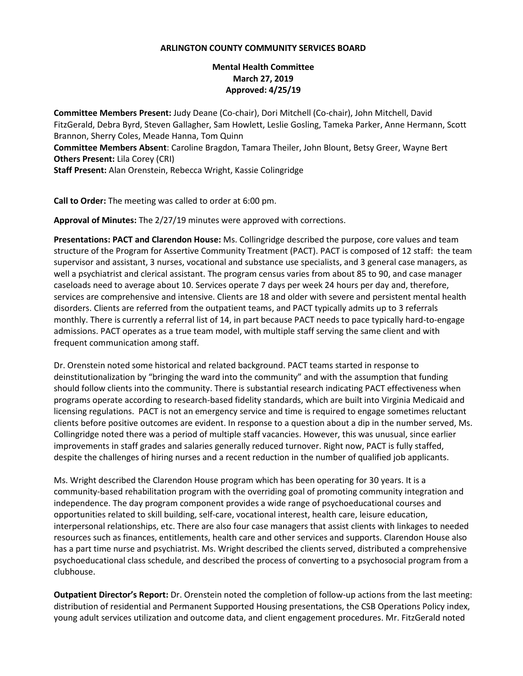## **ARLINGTON COUNTY COMMUNITY SERVICES BOARD**

## **Mental Health Committee March 27, 2019 Approved: 4/25/19**

**Committee Members Present:** Judy Deane (Co-chair), Dori Mitchell (Co-chair), John Mitchell, David FitzGerald, Debra Byrd, Steven Gallagher, Sam Howlett, Leslie Gosling, Tameka Parker, Anne Hermann, Scott Brannon, Sherry Coles, Meade Hanna, Tom Quinn **Committee Members Absent**: Caroline Bragdon, Tamara Theiler, John Blount, Betsy Greer, Wayne Bert **Others Present:** Lila Corey (CRI) **Staff Present:** Alan Orenstein, Rebecca Wright, Kassie Colingridge

**Call to Order:** The meeting was called to order at 6:00 pm.

**Approval of Minutes:** The 2/27/19 minutes were approved with corrections.

**Presentations: PACT and Clarendon House:** Ms. Collingridge described the purpose, core values and team structure of the Program for Assertive Community Treatment (PACT). PACT is composed of 12 staff: the team supervisor and assistant, 3 nurses, vocational and substance use specialists, and 3 general case managers, as well a psychiatrist and clerical assistant. The program census varies from about 85 to 90, and case manager caseloads need to average about 10. Services operate 7 days per week 24 hours per day and, therefore, services are comprehensive and intensive. Clients are 18 and older with severe and persistent mental health disorders. Clients are referred from the outpatient teams, and PACT typically admits up to 3 referrals monthly. There is currently a referral list of 14, in part because PACT needs to pace typically hard-to-engage admissions. PACT operates as a true team model, with multiple staff serving the same client and with frequent communication among staff.

Dr. Orenstein noted some historical and related background. PACT teams started in response to deinstitutionalization by "bringing the ward into the community" and with the assumption that funding should follow clients into the community. There is substantial research indicating PACT effectiveness when programs operate according to research-based fidelity standards, which are built into Virginia Medicaid and licensing regulations. PACT is not an emergency service and time is required to engage sometimes reluctant clients before positive outcomes are evident. In response to a question about a dip in the number served, Ms. Collingridge noted there was a period of multiple staff vacancies. However, this was unusual, since earlier improvements in staff grades and salaries generally reduced turnover. Right now, PACT is fully staffed, despite the challenges of hiring nurses and a recent reduction in the number of qualified job applicants.

Ms. Wright described the Clarendon House program which has been operating for 30 years. It is a community-based rehabilitation program with the overriding goal of promoting community integration and independence. The day program component provides a wide range of psychoeducational courses and opportunities related to skill building, self-care, vocational interest, health care, leisure education, interpersonal relationships, etc. There are also four case managers that assist clients with linkages to needed resources such as finances, entitlements, health care and other services and supports. Clarendon House also has a part time nurse and psychiatrist. Ms. Wright described the clients served, distributed a comprehensive psychoeducational class schedule, and described the process of converting to a psychosocial program from a clubhouse.

**Outpatient Director's Report:** Dr. Orenstein noted the completion of follow-up actions from the last meeting: distribution of residential and Permanent Supported Housing presentations, the CSB Operations Policy index, young adult services utilization and outcome data, and client engagement procedures. Mr. FitzGerald noted